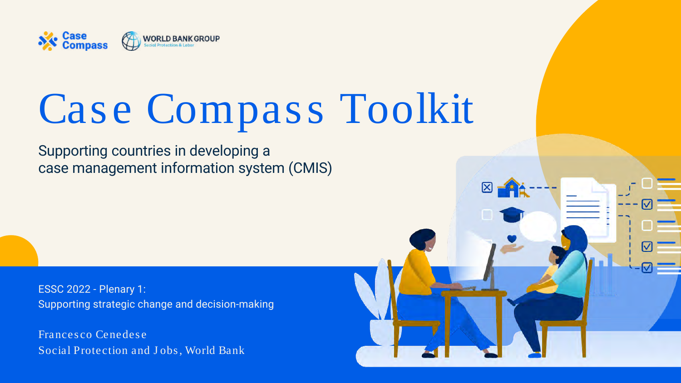ESSC 2022 - Plenary 1: Supporting strategic change and decision-making



# Case Compass Toolkit

Frances co Cenedes e Social Protection and Jobs, World Bank



Supporting countries in developing a case management information system (CMIS)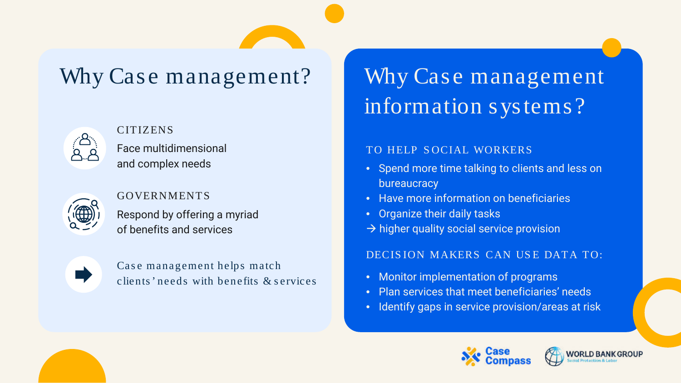# Why Case management information systems?

# Why Case management?



Case management helps match clients ' needs with benefits & s ervices

- Spend more time talking to clients and less on bureaucracy
- Have more information on beneficiaries
- Organize their daily tasks
- $\rightarrow$  higher quality social service provision

#### CITIZENS

- 
- 
- 

Face multidimensional and complex needs



#### GOVERNMENTS

Respond by offering a myriad of benefits and services



### TO HELP S OCIAL WORKERS

#### DECIS ION MAKERS CAN US E DATA TO:

• Monitor implementation of programs • Plan services that meet beneficiaries' needs • Identify gaps in service provision/areas at risk



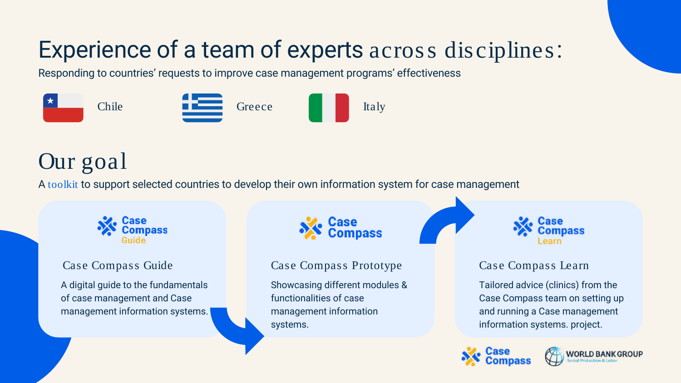# Our goal

Case Compass Learn

Tailored advice (clinics) from the Case Compass team on setting up and running a Case management information systems. project.





### Case Compass Guide

A digital guide to the fundamentals of case management and Case management information systems.



#### Case Compass Prototype

Showcasing different modules & functionalities of case management information systems.



A toolkit to support selected countries to develop their own information system for case management



# Experience of a team of experts across disciplines:

Responding to countries' requests to improve case management programs' effectiveness

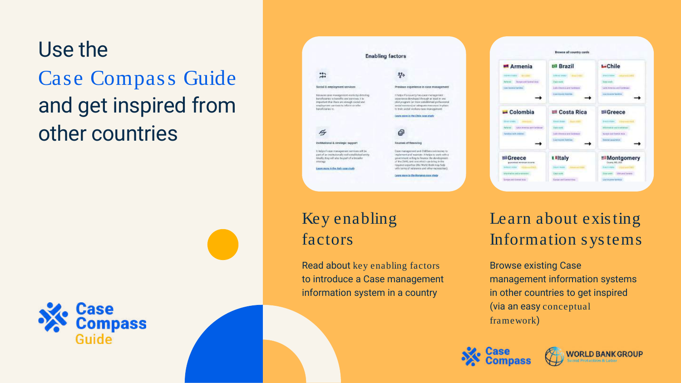# Learn about existing Information systems

Browse existing Case management information systems in other countries to get inspired (via an easy conceptual framework)





# Use the Case Compass Guide and get inspired from other countries



#### **Enabling factors** 崇 뭉 Social & employment services. Previous experience in case management Because case management works by directing Intelasticiously has date management bereferente lo benefits and services, it is: esperience devoloped through at least in sea stat program (or more satisfarked preferators) important that there are enough racial see! descripte consignite infects or refut sistial servicint) or adoquate resources in plant horategnas te. to train annul verkars cate management. astro control on the Chile case most € for institutional& strategic support **Sources of firestoing** It belg a if case management territors will be Easternaneoverst and CNBSencostrocoles to part of in institutionally well-established and implement and reserteer. It helps to work with a Ideally, they will also be part of a broader enment willing to finance the development at the Divit), and crocyrists carebring in the strategy required copyrities (the World Bank may help) Learn more in the Asir name study with turms of relations and other necessities Learn more to the Romania gives shops

# Key enabling factors

Read about key enabling factors to introduce a Case management information system in a country

|                                                                                                                                                                | Browse all country cards                                                                                                                   |                                                                                                                         |
|----------------------------------------------------------------------------------------------------------------------------------------------------------------|--------------------------------------------------------------------------------------------------------------------------------------------|-------------------------------------------------------------------------------------------------------------------------|
| - Armenia<br>THE WAS ARRESTED FOR THE RESIDENT.<br>Torrow and Gardeal State<br><b>Section exc</b><br>Lisa museum factores.                                     | <b>Brazil</b><br>Science constant in the animals of \$40.00<br><b>Case new</b><br>Liskin 4 months and Cardinators<br>Listen party Lighting | <b>L</b> Chile<br><b>BWINGING</b><br><b>Convenier</b><br>Later Arrestor and Cardinaser.<br>Live-termine facedline       |
| $\blacksquare$ Colombia<br><b>SERVICE STARKS</b><br>Life America and Cardinale<br><b>Parliament</b><br>Fatalog HCR (Allman)                                    | Costa Rica<br>031273140<br><b>Charles</b><br><b>Tale east</b><br>Lady Alexandrand Carenage<br><b>Conversions Internal</b>                  | <b>SGreece</b><br><b>DATITIES</b><br><b>A FORD AT AIX PAT AFTER</b><br>banes and finelist has<br><b>Execut position</b> |
| <b>E</b> Greece<br>guardaires) accomun buyered<br><b>Business of Counters Co., Call 444-444-444</b><br>information and an interest<br>Exchanged Goretal Arts - | <b>I</b> Htaly<br><b>Person Income</b><br>Catal-Autob.<br><b>Harpy and Carrent Abia</b>                                                    | Montgomery<br>Course, MS, LILE<br><b>Satisfall</b><br><b>LAGUIN</b><br>Stevenski, blok and Stevens<br>Lie econs farmul  |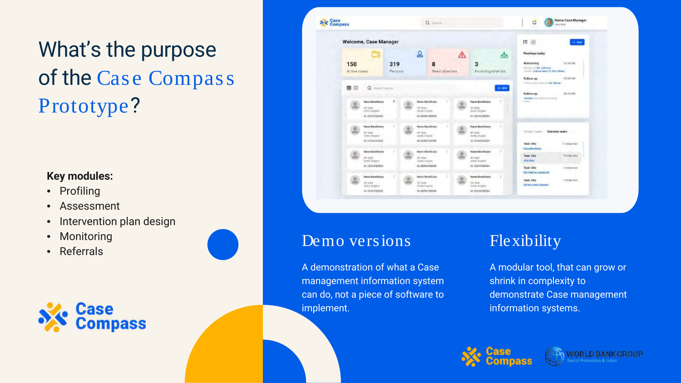# What's the purpose of the Case Compass Prototype?

A demonstration of what a Case management information system can do, not a piece of software to implement.

## Flexibility

A modular tool, that can grow or shrink in complexity to demonstrate Case management information systems.





WORLD BANK GROUP

### **Key modules:**

- Profiling
- Assessment
- Intervention plan design
- **Monitoring**
- Referrals





## Demo versions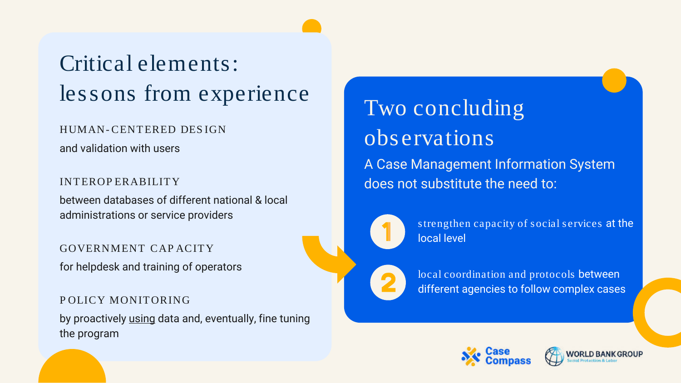# Critical elements: lessons from experience

INTEROP ERABILITY

Two concluding observations A Case Management Information System does not substitute the need to:

between databases of different national & local administrations or service providers

s trengthen capacity of social services at the local level

HUMAN- CENTERED DES IGN

and validation with users

GOVERNMENT CAP ACITY for helpdesk and training of operators

P OLICY MONITORING by proactively using data and, eventually, fine tuning the program

local coordination and protocols between different agencies to follow complex cases